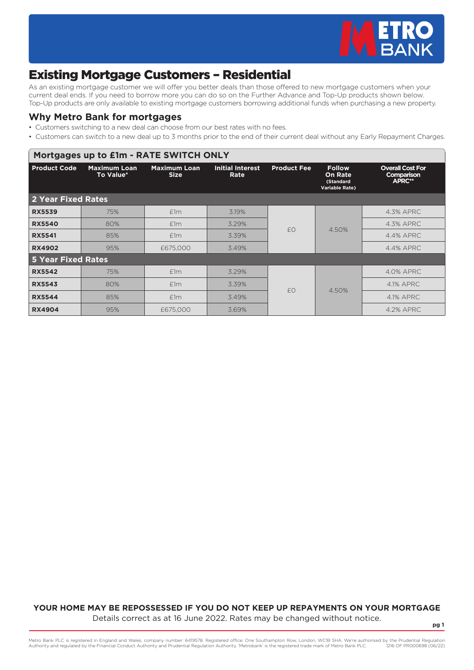

# Existing Mortgage Customers – Residential

As an existing mortgage customer we will offer you better deals than those offered to new mortgage customers when your current deal ends. If you need to borrow more you can do so on the Further Advance and Top-Up products shown below. Top-Up products are only available to existing mortgage customers borrowing additional funds when purchasing a new property.

#### **Why Metro Bank for mortgages**

- Customers switching to a new deal can choose from our best rates with no fees.
- Customers can switch to a new deal up to 3 months prior to the end of their current deal without any Early Repayment Charges.

| Mortgages up to £1m - RATE SWITCH ONLY |                                  |                                    |                                 |                    |                                                                       |                                                 |  |  |  |
|----------------------------------------|----------------------------------|------------------------------------|---------------------------------|--------------------|-----------------------------------------------------------------------|-------------------------------------------------|--|--|--|
| <b>Product Code</b>                    | <b>Maximum Loan</b><br>To Value* | <b>Maximum Loan</b><br><b>Size</b> | <b>Initial Interest</b><br>Rate | <b>Product Fee</b> | <b>Follow</b><br><b>On Rate</b><br>(Standard<br><b>Variable Rate)</b> | <b>Overall Cost For</b><br>Comparison<br>APRC** |  |  |  |
| <b>2 Year Fixed Rates</b>              |                                  |                                    |                                 |                    |                                                                       |                                                 |  |  |  |
| <b>RX5539</b>                          | 75%                              | E1m                                | 3.19%                           |                    | 4.50%                                                                 | 4.3% APRC                                       |  |  |  |
| <b>RX5540</b>                          | 80%                              | E1m                                | 3.29%                           | f()                |                                                                       | 4.3% APRC                                       |  |  |  |
| <b>RX5541</b>                          | 85%                              | E1m                                | 3.39%                           |                    |                                                                       | 4.4% APRC                                       |  |  |  |
| <b>RX4902</b>                          | 95%                              | £675,000                           | 3.49%                           |                    |                                                                       | 4.4% APRC                                       |  |  |  |
| <b>5 Year Fixed Rates</b>              |                                  |                                    |                                 |                    |                                                                       |                                                 |  |  |  |
| <b>RX5542</b>                          | 75%                              | E1m                                | 3.29%                           |                    |                                                                       | 4.0% APRC                                       |  |  |  |
| <b>RX5543</b>                          | 80%                              | E1m                                | 3.39%                           | f()                |                                                                       | 4.1% APRC                                       |  |  |  |
| <b>RX5544</b>                          | 85%                              | E1m                                | 3.49%                           |                    | 4.50%                                                                 | 4.1% APRC                                       |  |  |  |
| <b>RX4904</b>                          | 95%                              | £675,000                           | 3.69%                           |                    |                                                                       | 4.2% APRC                                       |  |  |  |

#### **YOUR HOME MAY BE REPOSSESSED IF YOU DO NOT KEEP UP REPAYMENTS ON YOUR MORTGAGE** Details correct as at 16 June 2022. Rates may be changed without notice.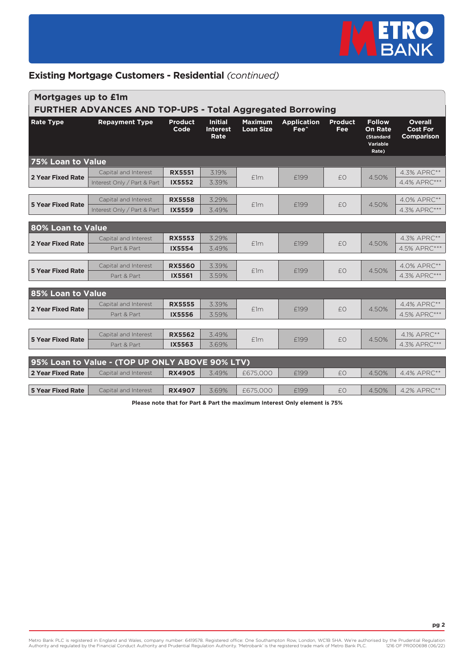

| Mortgages up to £1m<br><b>FURTHER ADVANCES AND TOP-UPS - Total Aggregated Borrowing</b> |                                                                         |                                |                                           |                                    |                                        |                       |                                                                          |                                                        |  |
|-----------------------------------------------------------------------------------------|-------------------------------------------------------------------------|--------------------------------|-------------------------------------------|------------------------------------|----------------------------------------|-----------------------|--------------------------------------------------------------------------|--------------------------------------------------------|--|
| <b>Rate Type</b>                                                                        | <b>Repayment Type</b>                                                   | <b>Product</b><br>Code         | <b>Initial</b><br><b>Interest</b><br>Rate | <b>Maximum</b><br><b>Loan Size</b> | <b>Application</b><br>Fee <sup>^</sup> | <b>Product</b><br>Fee | <b>Follow</b><br><b>On Rate</b><br><b>(Standard</b><br>Variable<br>Rate) | <b>Overall</b><br><b>Cost For</b><br><b>Comparison</b> |  |
| <b>75% Loan to Value</b>                                                                |                                                                         |                                |                                           |                                    |                                        |                       |                                                                          |                                                        |  |
| <b>2 Year Fixed Rate</b>                                                                | Capital and Interest                                                    | <b>RX5551</b>                  | 3.19%                                     | E1m                                | £199                                   | £0                    | 4.50%                                                                    | 4.3% APRC**                                            |  |
|                                                                                         | Interest Only / Part & Part                                             | <b>IX5552</b>                  | 3.39%                                     |                                    |                                        |                       |                                                                          | 4.4% APRC***                                           |  |
| <b>5 Year Fixed Rate</b>                                                                | Capital and Interest<br>Interest Only / Part & Part                     | <b>RX5558</b><br><b>IX5559</b> | 3.29%<br>3.49%                            | E1m                                | £199                                   | £0                    | 4.50%                                                                    | 4.0% APRC**<br>4.3% APRC***                            |  |
| 80% Loan to Value                                                                       |                                                                         |                                |                                           |                                    |                                        |                       |                                                                          |                                                        |  |
| 2 Year Fixed Rate                                                                       | Capital and Interest<br>Part & Part                                     | <b>RX5553</b><br><b>IX5554</b> | 3.29%<br>3.49%                            | f1m                                | F <sub>199</sub>                       | £0                    | 4.50%                                                                    | 4.3% APRC**<br>4.5% APRC***                            |  |
| <b>5 Year Fixed Rate</b>                                                                | Capital and Interest<br>Part & Part                                     | <b>RX5560</b><br>IX5561        | 3.39%<br>3.59%                            | E1m                                | £199                                   | £0                    | 4.50%                                                                    | 4.0% APRC**<br>4.3% APRC***                            |  |
| 85% Loan to Value                                                                       |                                                                         |                                |                                           |                                    |                                        |                       |                                                                          |                                                        |  |
| <b>2 Year Fixed Rate</b>                                                                | Capital and Interest<br>Part & Part                                     | <b>RX5555</b><br>IX5556        | 3.39%<br>3.59%                            | E1m                                | £199                                   | £0                    | 4.50%                                                                    | 4.4% APRC**<br>4.5% APRC***                            |  |
| <b>5 Year Fixed Rate</b>                                                                | Capital and Interest<br>Part & Part                                     | <b>RX5562</b><br><b>IX5563</b> | 3.49%<br>3.69%                            | E1m                                | £199                                   | £0                    | 4.50%                                                                    | 4.1% APRC**<br>4.3% APRC***                            |  |
| 2 Year Fixed Rate                                                                       | 95% Loan to Value - (TOP UP ONLY ABOVE 90% LTV)<br>Capital and Interest | <b>RX4905</b>                  | 3.49%                                     | £675,000                           | F <sub>199</sub>                       | £0                    | 4.50%                                                                    | 4.4% APRC**                                            |  |
| <b>5 Year Fixed Rate</b>                                                                | Capital and Interest                                                    | <b>RX4907</b>                  | 3.69%                                     | £675,000                           | £199                                   | £0                    | 4.50%                                                                    | 4.2% APRC**                                            |  |

**Please note that for Part & Part the maximum Interest Only element is 75%**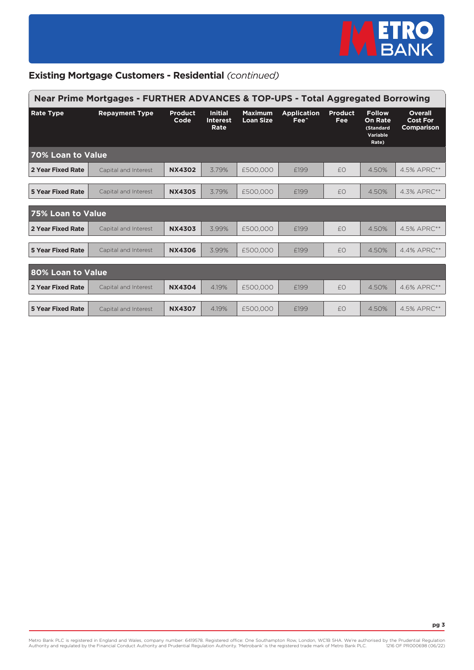

| Near Prime Mortgages - FURTHER ADVANCES & TOP-UPS - Total Aggregated Borrowing |                       |                        |                                           |                                    |                                        |                       |                                                                          |                                                        |  |
|--------------------------------------------------------------------------------|-----------------------|------------------------|-------------------------------------------|------------------------------------|----------------------------------------|-----------------------|--------------------------------------------------------------------------|--------------------------------------------------------|--|
| <b>Rate Type</b>                                                               | <b>Repayment Type</b> | <b>Product</b><br>Code | <b>Initial</b><br><b>Interest</b><br>Rate | <b>Maximum</b><br><b>Loan Size</b> | <b>Application</b><br>Fee <sup>^</sup> | <b>Product</b><br>Fee | <b>Follow</b><br><b>On Rate</b><br><b>(Standard</b><br>Variable<br>Rate) | <b>Overall</b><br><b>Cost For</b><br><b>Comparison</b> |  |
| 70% Loan to Value                                                              |                       |                        |                                           |                                    |                                        |                       |                                                                          |                                                        |  |
| 2 Year Fixed Rate                                                              | Capital and Interest  | <b>NX4302</b>          | 3.79%                                     | £500,000                           | £199                                   | £0                    | 4.50%                                                                    | 4.5% APRC**                                            |  |
| <b>5 Year Fixed Rate</b>                                                       | Capital and Interest  | <b>NX4305</b>          | 3.79%                                     | £500,000                           | £199                                   | £0                    | 4.50%                                                                    | 4.3% APRC**                                            |  |
| 75% Loan to Value                                                              |                       |                        |                                           |                                    |                                        |                       |                                                                          |                                                        |  |
| 2 Year Fixed Rate                                                              | Capital and Interest  | <b>NX4303</b>          | 3.99%                                     | £500,000                           | £199                                   | £0                    | 4.50%                                                                    | 4.5% APRC**                                            |  |
| <b>5 Year Fixed Rate</b>                                                       | Capital and Interest  | <b>NX4306</b>          | 3.99%                                     | £500,000                           | £199                                   | £0                    | 4.50%                                                                    | 4.4% APRC**                                            |  |
| 80% Loan to Value                                                              |                       |                        |                                           |                                    |                                        |                       |                                                                          |                                                        |  |
| 2 Year Fixed Rate                                                              | Capital and Interest  | <b>NX4304</b>          | 4.19%                                     | £500,000                           | £199                                   | £0                    | 4.50%                                                                    | 4.6% APRC**                                            |  |
| 5 Year Fixed Rate                                                              | Capital and Interest  | <b>NX4307</b>          | 4.19%                                     | £500,000                           | F <sub>199</sub>                       | f()                   | 4.50%                                                                    | 4.5% APRC**                                            |  |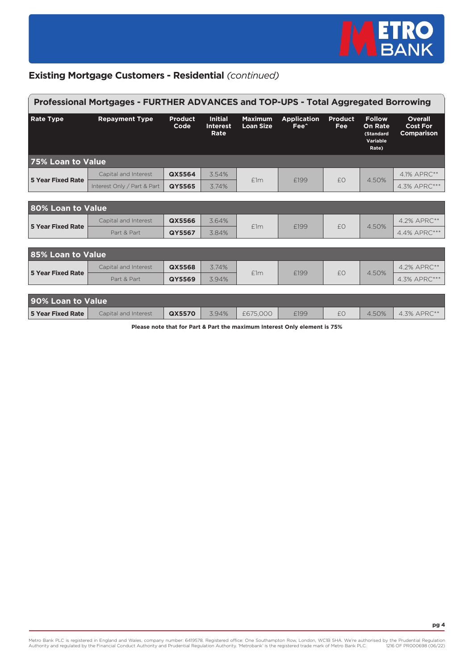

| Professional Mortgages - FURTHER ADVANCES and TOP-UPS - Total Aggregated Borrowing |                             |                        |                                           |                             |                                        |                       |                                                                   |                                                 |
|------------------------------------------------------------------------------------|-----------------------------|------------------------|-------------------------------------------|-----------------------------|----------------------------------------|-----------------------|-------------------------------------------------------------------|-------------------------------------------------|
| <b>Rate Type</b>                                                                   | <b>Repayment Type</b>       | <b>Product</b><br>Code | <b>Initial</b><br><b>Interest</b><br>Rate | <b>Maximum</b><br>Loan Size | <b>Application</b><br>Fee <sup>^</sup> | <b>Product</b><br>Fee | <b>Follow</b><br><b>On Rate</b><br>(Standard<br>Variable<br>Rate) | <b>Overall</b><br><b>Cost For</b><br>Comparison |
| 75% Loan to Value                                                                  |                             |                        |                                           |                             |                                        |                       |                                                                   |                                                 |
| <b>5 Year Fixed Rate</b>                                                           | Capital and Interest        | QX5564                 | 3.54%                                     | f1m                         | F <sub>199</sub>                       | f()                   | 4.50%                                                             | 4.1% APRC**                                     |
|                                                                                    | Interest Only / Part & Part | <b>QY5565</b>          | 3.74%                                     |                             |                                        |                       |                                                                   | 4.3% APRC***                                    |
|                                                                                    |                             |                        |                                           |                             |                                        |                       |                                                                   |                                                 |
| 80% Loan to Value                                                                  |                             |                        |                                           |                             |                                        |                       |                                                                   |                                                 |
| <b>5 Year Fixed Rate</b>                                                           | Capital and Interest        | QX5566                 | 3.64%                                     | f1m                         | F <sub>199</sub>                       | £0                    | 4.50%                                                             | 4.2% APRC**                                     |
|                                                                                    | Part & Part                 | QY5567                 | 3.84%                                     |                             |                                        |                       |                                                                   | 4.4% APRC***                                    |
|                                                                                    |                             |                        |                                           |                             |                                        |                       |                                                                   |                                                 |
| 85% Loan to Value                                                                  |                             |                        |                                           |                             |                                        |                       |                                                                   |                                                 |
| <b>5 Year Fixed Rate</b>                                                           | Capital and Interest        | QX5568                 | 3.74%                                     | f1m                         | £199                                   | £0                    | 4.50%                                                             | 4.2% APRC**                                     |
|                                                                                    | Part & Part                 | <b>QY5569</b>          | 3.94%                                     |                             |                                        |                       |                                                                   | 4.3% APRC***                                    |
|                                                                                    |                             |                        |                                           |                             |                                        |                       |                                                                   |                                                 |
| 90% Loan to Value                                                                  |                             |                        |                                           |                             |                                        |                       |                                                                   |                                                 |
| <b>5 Year Fixed Rate</b>                                                           | Capital and Interest        | QX5570                 | 3.94%                                     | £675,000                    | F <sub>199</sub>                       | f()                   | 4.50%                                                             | 4.3% APRC**                                     |

**Please note that for Part & Part the maximum Interest Only element is 75%**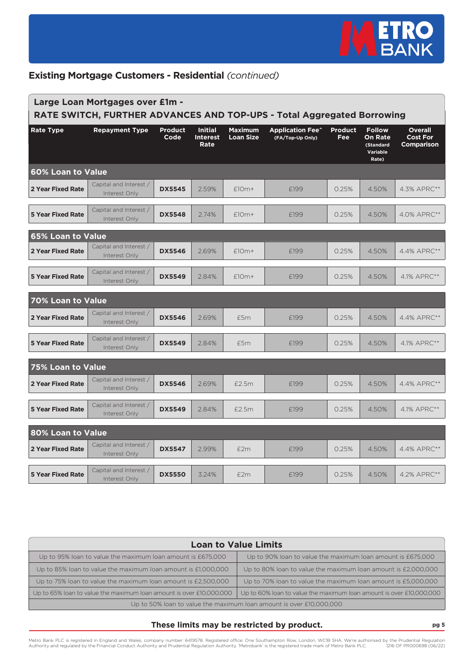

| Large Loan Mortgages over £1m -<br>RATE SWITCH, FURTHER ADVANCES AND TOP-UPS - Total Aggregated Borrowing |                                         |                        |                                           |                                    |                                             |                       |                                                                   |                                                 |
|-----------------------------------------------------------------------------------------------------------|-----------------------------------------|------------------------|-------------------------------------------|------------------------------------|---------------------------------------------|-----------------------|-------------------------------------------------------------------|-------------------------------------------------|
| <b>Rate Type</b>                                                                                          | <b>Repayment Type</b>                   | <b>Product</b><br>Code | <b>Initial</b><br><b>Interest</b><br>Rate | <b>Maximum</b><br><b>Loan Size</b> | <b>Application Fee^</b><br>(FA/Top-Up Only) | <b>Product</b><br>Fee | <b>Follow</b><br><b>On Rate</b><br>(Standard<br>Variable<br>Rate) | <b>Overall</b><br><b>Cost For</b><br>Comparison |
| <b>60% Loan to Value</b>                                                                                  |                                         |                        |                                           |                                    |                                             |                       |                                                                   |                                                 |
| <b>2 Year Fixed Rate</b>                                                                                  | Capital and Interest /<br>Interest Only | <b>DX5545</b>          | 2.59%                                     | $£10m+$                            | £199                                        | 0.25%                 | 4.50%                                                             | 4.3% APRC**                                     |
| <b>5 Year Fixed Rate</b>                                                                                  | Capital and Interest /<br>Interest Only | <b>DX5548</b>          | 2.74%                                     | $£10m+$                            | £199                                        | 0.25%                 | 4.50%                                                             | 4.0% APRC**                                     |
| <b>65% Loan to Value</b>                                                                                  |                                         |                        |                                           |                                    |                                             |                       |                                                                   |                                                 |
| 2 Year Fixed Rate                                                                                         | Capital and Interest /<br>Interest Only | <b>DX5546</b>          | 2.69%                                     | $f10m+$                            | F <sub>199</sub>                            | 0.25%                 | 4.50%                                                             | 4.4% APRC**                                     |
| <b>5 Year Fixed Rate</b>                                                                                  | Capital and Interest /<br>Interest Only | <b>DX5549</b>          | 2.84%                                     | $£10m+$                            | £199                                        | 0.25%                 | 4.50%                                                             | 4.1% APRC**                                     |
| 70% Loan to Value                                                                                         |                                         |                        |                                           |                                    |                                             |                       |                                                                   |                                                 |
| <b>2 Year Fixed Rate</b>                                                                                  | Capital and Interest /<br>Interest Only | <b>DX5546</b>          | 2.69%                                     | £5m                                | £199                                        | 0.25%                 | 4.50%                                                             | 4.4% APRC**                                     |
| <b>5 Year Fixed Rate</b>                                                                                  | Capital and Interest /<br>Interest Only | <b>DX5549</b>          | 2.84%                                     | £5m                                | £199                                        | 0.25%                 | 4.50%                                                             | 4.1% APRC**                                     |
| 75% Loan to Value                                                                                         |                                         |                        |                                           |                                    |                                             |                       |                                                                   |                                                 |
| <b>2 Year Fixed Rate</b>                                                                                  | Capital and Interest /<br>Interest Only | <b>DX5546</b>          | 2.69%                                     | £2.5m                              | £199                                        | 0.25%                 | 4.50%                                                             | 4.4% APRC**                                     |
| <b>5 Year Fixed Rate</b>                                                                                  | Capital and Interest /<br>Interest Only | <b>DX5549</b>          | 2.84%                                     | £2.5m                              | £199                                        | 0.25%                 | 4.50%                                                             | 4.1% APRC**                                     |
| 80% Loan to Value                                                                                         |                                         |                        |                                           |                                    |                                             |                       |                                                                   |                                                 |
| <b>2 Year Fixed Rate</b>                                                                                  | Capital and Interest /<br>Interest Only | <b>DX5547</b>          | 2.99%                                     | E2m                                | F <sub>199</sub>                            | 0.25%                 | 4.50%                                                             | 4.4% APRC**                                     |
| <b>5 Year Fixed Rate</b>                                                                                  | Capital and Interest /<br>Interest Only | <b>DX5550</b>          | 3.24%                                     | E2m                                | £199                                        | 0.25%                 | 4.50%                                                             | 4.2% APRC**                                     |

| <b>Loan to Value Limits</b>                                         |                                                                     |  |  |  |  |  |
|---------------------------------------------------------------------|---------------------------------------------------------------------|--|--|--|--|--|
| Up to 95% loan to value the maximum loan amount is £675,000         | Up to 90% loan to value the maximum loan amount is £675,000         |  |  |  |  |  |
| Up to 85% loan to value the maximum loan amount is £1,000,000       | Up to 80% loan to value the maximum loan amount is £2,000,000       |  |  |  |  |  |
| Up to 75% loan to value the maximum loan amount is £2,500,000       | Up to 70% loan to value the maximum loan amount is £5,000,000       |  |  |  |  |  |
| Up to 65% loan to value the maximum loan amount is over £10,000,000 | Up to 60% loan to value the maximum loan amount is over £10,000,000 |  |  |  |  |  |
| Up to 50% loan to value the maximum loan amount is over £10,000,000 |                                                                     |  |  |  |  |  |

#### **These limits may be restricted by product. pg 5**

Metro Bank PLC is registered in England and Wales, company number: 6419578. Registered office: One Southampton Row, London, WCIB 5HA. We're authorised by the Prudential Regulation<br>Authority and regulated by the Financial C